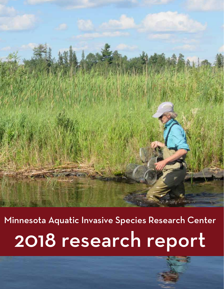

Minnesota Aquatic Invasive Species Research Center 2018 research report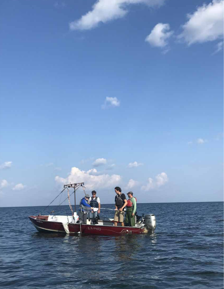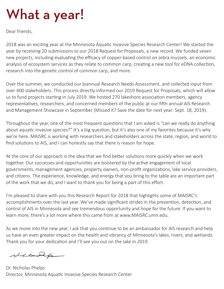# What a year!

Dear friends,

2018 was an exciting year at the Minnesota Aquatic Invasive Species Research Center! We started the year by receiving 20 submissions to our 2018 Request for Proposals, a new record. We funded seven new projects, including evaluating the efficacy of copper-based control on zebra mussels, an economic analysis of ecosystem services as they relate to common carp, creating a new tool for eDNA collection, research into the genetic control of common carp, and more.

Over the summer, we conducted our biannual Research Needs Assessment, and collected input from over 400 stakeholders. This process directly informed our 2019 Request for Proposals, which will allow us to fund projects starting in July 2019. We hosted 270 lakeshore association members, agency representatives, researchers, and concerned members of the public at our fifth annual AIS Research and Management Showcase in September (Missed it? Save the date for next year: Sept. 18, 2019).

Throughout the year, one of the most frequent questions that I am asked is "can we really do anything about aquatic invasive species?" It's a big question, but it's also one of my favorites because it's why we're here. MAISRC is working with researchers and stakeholders across the state, region, and world to find solutions to AIS, and I can honestly say that there is reason for hope.

At the core of our approach is the idea that we find better solutions more quickly when we work together. Our successes and opportunities are bolstered by the active engagement of local governments, management agencies, property owners, non-profit organizations, lake service providers, and citizens. The experience, knowledge, and energy that you bring to the table are an important part of the work that we do, and I want to thank you for being a part of this effort.

I'm pleased to share with you this Research Report for 2018 that highlights some of MAISRC's accomplishments over the last year. We've made significant strides in the prevention, detection, and control of AIS in Minnesota and see tremendous opportunity and hope for the future. If you want to learn more, there's a lot more where this came from at www.MAISRC.umn.edu.

As we move into the new year, I ask that you continue to be an ambassador for AIS research and help us have an even greater impact on the health and vibrancy of Minnesota's lakes, rivers, and wetlands. Thank you for your dedication and I'll see you out on the lake in 2019.

villagape

Dr. Nicholas Phelps Director, Minnesota Aqua�c Invasive Species Research Center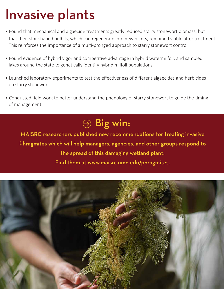## Invasive plants

- Found that mechanical and algaecide treatments greatly reduced starry stonewort biomass, but that their star-shaped bulbils, which can regenerate into new plants, remained viable after treatment. This reinforces the importance of a multi-pronged approach to starry stonewort control
- Found evidence of hybrid vigor and competitive advantage in hybrid watermilfoil, and sampled lakes around the state to genetically identify hybrid milfoil populations
- Launched laboratory experiments to test the effectiveness of different algaecides and herbicides on starry stonewort
- Conducted field work to better understand the phenology of starry stonewort to guide the timing of management

### $\oplus$  Big win:

MAISRC researchers published new recommendations for treating invasive Phragmites which will help managers, agencies, and other groups respond to the spread of this damaging wetland plant. Find them at www.maisrc.umn.edu/phragmites.

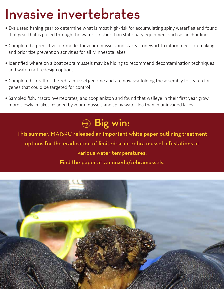### Invasive invertebrates

- Evaluated fishing gear to determine what is most high-risk for accumulating spiny waterflea and found that gear that is pulled through the water is riskier than stationary equipment such as anchor lines
- Completed a predictive risk model for zebra mussels and starry stonewort to inform decision-making and prioritize prevention activities for all Minnesota lakes
- Identified where on a boat zebra mussels may be hiding to recommend decontamination techniques and watercraft redesign options
- Completed a draft of the zebra mussel genome and are now scaffolding the assembly to search for genes that could be targeted for control
- Sampled fish, macroinvertebrates, and zooplankton and found that walleye in their first year grow more slowly in lakes invaded by zebra mussels and spiny waterflea than in uninvaded lakes



This summer, MAISRC released an important white paper outlining treatment options for the eradication of limited-scale zebra mussel infestations at various water temperatures.

Find the paper at z.umn.edu/zebramussels.

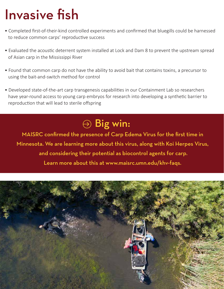# Invasive fish

- Completed first-of-their-kind controlled experiments and confirmed that bluegills could be harnessed to reduce common carps' reproductive success
- Evaluated the acoustic deterrent system installed at Lock and Dam 8 to prevent the upstream spread of Asian carp in the Mississippi River
- Found that common carp do not have the ability to avoid bait that contains toxins, a precursor to using the bait-and-switch method for control
- Developed state-of-the-art carp transgenesis capabilities in our Containment Lab so researchers have year-round access to young carp embryos for research into developing a synthetic barrier to reproduction that will lead to sterile offspring

### $\oplus$  Big win:

MAISRC confirmed the presence of Carp Edema Virus for the first time in Minnesota. We are learning more about this virus, along with Koi Herpes Virus, and considering their potential as biocontrol agents for carp. Learn more about this at www.maisrc.umn.edu/khv-faqs.

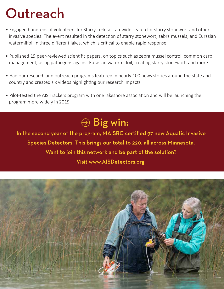# Outreach

- Engaged hundreds of volunteers for Starry Trek, a statewide search for starry stonewort and other invasive species. The event resulted in the detection of starry stonewort, zebra mussels, and Eurasian watermilfoil in three different lakes, which is critical to enable rapid response
- Published 19 peer-reviewed scientific papers, on topics such as zebra mussel control, common carp management, using pathogens against Eurasian watermilfoil, treating starry stonewort, and more
- Had our research and outreach programs featured in nearly 100 news stories around the state and country and created six videos highlighting our research impacts
- Pilot-tested the AIS Trackers program with one lakeshore association and will be launching the program more widely in 2019

### $\oplus$  Big win:

In the second year of the program, MAISRC certified 97 new Aquatic Invasive Species Detectors. This brings our total to 220, all across Minnesota. Want to join this network and be part of the solution? Visit www.AISDetectors.org.